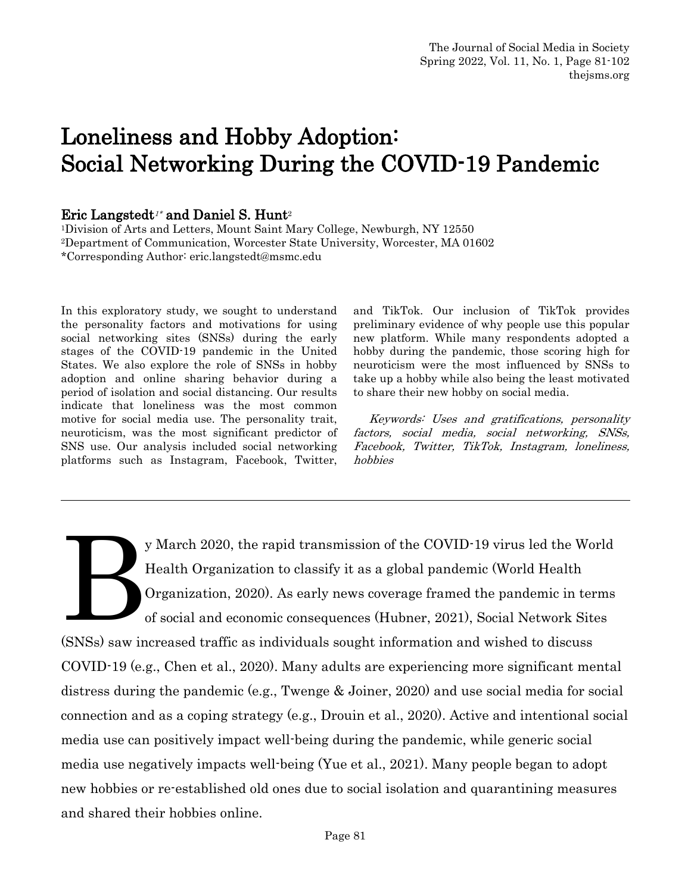# Loneliness and Hobby Adoption: Social Networking During the COVID-19 Pandemic

**Eric Langstedt<sup>1\*</sup> and Daniel S. Hunt<sup>2</sup>**<br><sup>1</sup>Division of Arts and Letters, Mount Saint Mary College, Newburgh, NY 12550 2Department of Communication, Worcester State University, Worcester, MA 01602 \*Corresponding Author: eric.langstedt@msmc.edu

In this exploratory study, we sought to understand the personality factors and motivations for using social networking sites (SNSs) during the early stages of the COVID-19 pandemic in the United States. We also explore the role of SNSs in hobby adoption and online sharing behavior during a period of isolation and social distancing. Our results indicate that loneliness was the most common motive for social media use. The personality trait, neuroticism, was the most significant predictor of SNS use. Our analysis included social networking platforms such as Instagram, Facebook, Twitter, and TikTok. Our inclusion of TikTok provides preliminary evidence of why people use this popular new platform. While many respondents adopted a hobby during the pandemic, those scoring high for neuroticism were the most influenced by SNSs to take up a hobby while also being the least motivated to share their new hobby on social media.

 Keywords: Uses and gratifications, personality factors, social media, social networking, SNSs, Facebook, Twitter, TikTok, Instagram, loneliness, hobbies

y March 2020, the rapid transmission of the COVID-19 virus led the World Health Organization to classify it as a global pandemic (World Health Organization, 2020). As early news coverage framed the pandemic in terms of social and economic consequences (Hubner, 2021), Social Network Sites (SNSs) saw increased traffic as individuals sought information and wished to discuss COVID-19 (e.g., Chen et al., 2020). Many adults are experiencing more significant mental distress during the pandemic (e.g., Twenge & Joiner, 2020) and use social media for social connection and as a coping strategy (e.g., Drouin et al., 2020). Active and intentional social media use can positively impact well-being during the pandemic, while generic social media use negatively impacts well-being (Yue et al., 2021). Many people began to adopt new hobbies or re-established old ones due to social isolation and quarantining measures and shared their hobbies online. **BUDGEOU**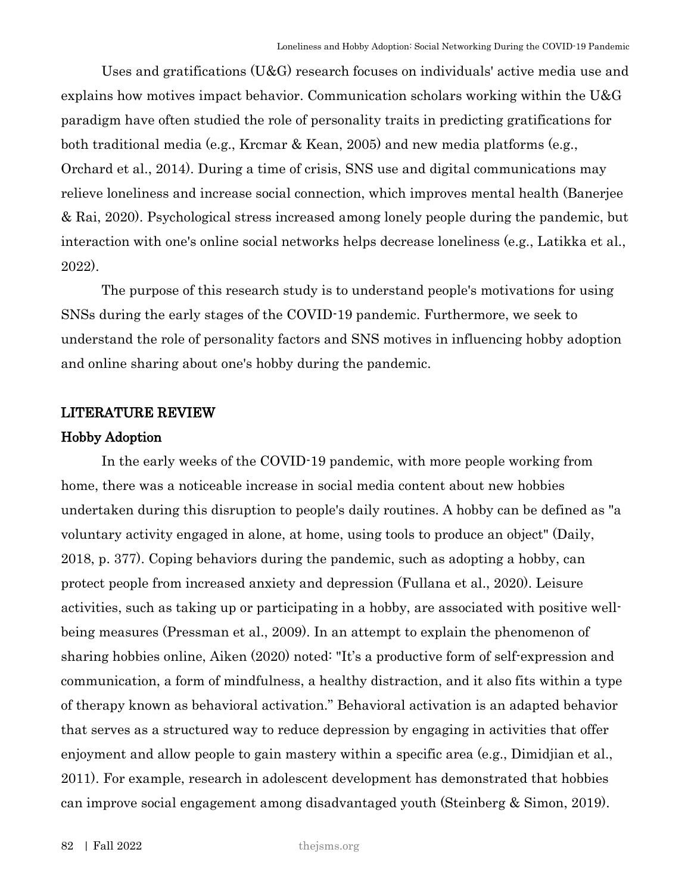Uses and gratifications (U&G) research focuses on individuals' active media use and explains how motives impact behavior. Communication scholars working within the U&G paradigm have often studied the role of personality traits in predicting gratifications for both traditional media (e.g., Krcmar & Kean, 2005) and new media platforms (e.g., Orchard et al., 2014). During a time of crisis, SNS use and digital communications may relieve loneliness and increase social connection, which improves mental health (Banerjee & Rai, 2020). Psychological stress increased among lonely people during the pandemic, but interaction with one's online social networks helps decrease loneliness (e.g., Latikka et al., 2022).

The purpose of this research study is to understand people's motivations for using SNSs during the early stages of the COVID-19 pandemic. Furthermore, we seek to understand the role of personality factors and SNS motives in influencing hobby adoption and online sharing about one's hobby during the pandemic.

#### LITERATURE REVIEW

#### Hobby Adoption

In the early weeks of the COVID-19 pandemic, with more people working from home, there was a noticeable increase in social media content about new hobbies undertaken during this disruption to people's daily routines. A hobby can be defined as "a voluntary activity engaged in alone, at home, using tools to produce an object" (Daily, 2018, p. 377). Coping behaviors during the pandemic, such as adopting a hobby, can protect people from increased anxiety and depression (Fullana et al., 2020). Leisure activities, such as taking up or participating in a hobby, are associated with positive wellbeing measures (Pressman et al., 2009). In an attempt to explain the phenomenon of sharing hobbies online, Aiken (2020) noted: "It's a productive form of self-expression and communication, a form of mindfulness, a healthy distraction, and it also fits within a type of therapy known as behavioral activation." Behavioral activation is an adapted behavior that serves as a structured way to reduce depression by engaging in activities that offer enjoyment and allow people to gain mastery within a specific area (e.g., Dimidjian et al., 2011). For example, research in adolescent development has demonstrated that hobbies can improve social engagement among disadvantaged youth (Steinberg & Simon, 2019).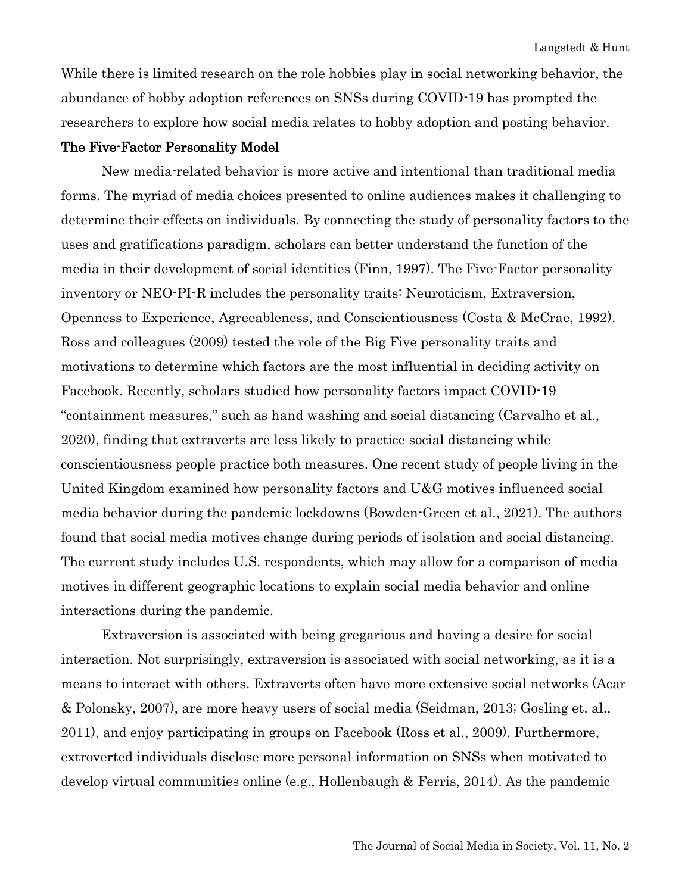While there is limited research on the role hobbies play in social networking behavior, the abundance of hobby adoption references on SNSs during COVID-19 has prompted the researchers to explore how social media relates to hobby adoption and posting behavior.

#### The Five-Factor Personality Model

New media-related behavior is more active and intentional than traditional media forms. The myriad of media choices presented to online audiences makes it challenging to determine their effects on individuals. By connecting the study of personality factors to the uses and gratifications paradigm, scholars can better understand the function of the media in their development of social identities (Finn, 1997). The Five-Factor personality inventory or NEO-PI-R includes the personality traits: Neuroticism, Extraversion, Openness to Experience, Agreeableness, and Conscientiousness (Costa & McCrae, 1992). Ross and colleagues (2009) tested the role of the Big Five personality traits and motivations to determine which factors are the most influential in deciding activity on Facebook. Recently, scholars studied how personality factors impact COVID-19 "containment measures," such as hand washing and social distancing (Carvalho et al., 2020), finding that extraverts are less likely to practice social distancing while conscientiousness people practice both measures. One recent study of people living in the United Kingdom examined how personality factors and U&G motives influenced social media behavior during the pandemic lockdowns (Bowden-Green et al., 2021). The authors found that social media motives change during periods of isolation and social distancing. The current study includes U.S. respondents, which may allow for a comparison of media motives in different geographic locations to explain social media behavior and online interactions during the pandemic.

Extraversion is associated with being gregarious and having a desire for social interaction. Not surprisingly, extraversion is associated with social networking, as it is a means to interact with others. Extraverts often have more extensive social networks (Acar & Polonsky, 2007), are more heavy users of social media (Seidman, 2013; Gosling et. al., 2011), and enjoy participating in groups on Facebook (Ross et al., 2009). Furthermore, extroverted individuals disclose more personal information on SNSs when motivated to develop virtual communities online (e.g., Hollenbaugh & Ferris, 2014). As the pandemic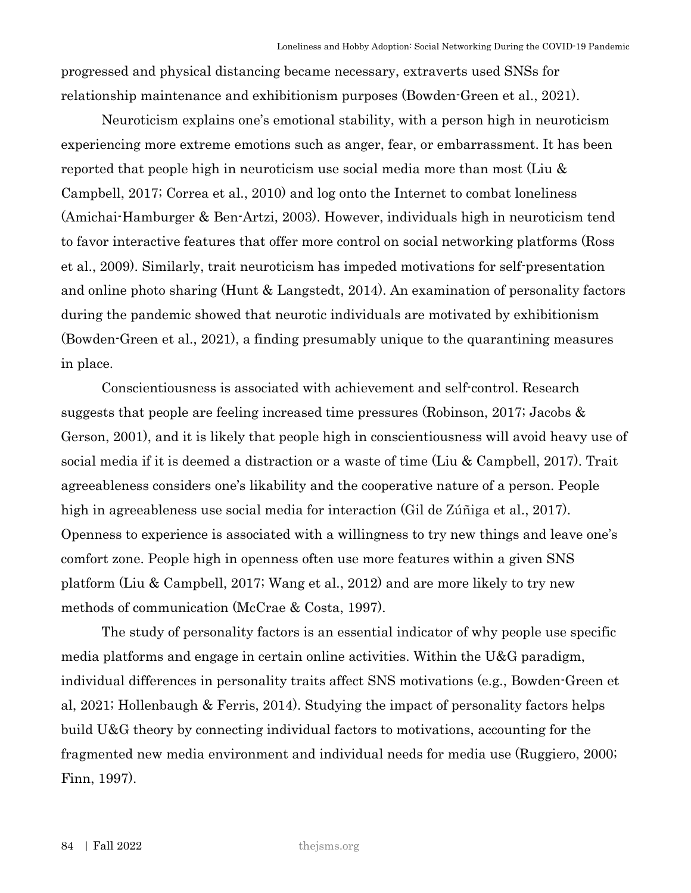progressed and physical distancing became necessary, extraverts used SNSs for relationship maintenance and exhibitionism purposes (Bowden-Green et al., 2021).

Neuroticism explains one's emotional stability, with a person high in neuroticism experiencing more extreme emotions such as anger, fear, or embarrassment. It has been reported that people high in neuroticism use social media more than most (Liu & Campbell, 2017; Correa et al., 2010) and log onto the Internet to combat loneliness (Amichai-Hamburger & Ben-Artzi, 2003). However, individuals high in neuroticism tend to favor interactive features that offer more control on social networking platforms (Ross et al., 2009). Similarly, trait neuroticism has impeded motivations for self-presentation and online photo sharing (Hunt & Langstedt, 2014). An examination of personality factors during the pandemic showed that neurotic individuals are motivated by exhibitionism (Bowden-Green et al., 2021), a finding presumably unique to the quarantining measures in place.

Conscientiousness is associated with achievement and self-control. Research suggests that people are feeling increased time pressures (Robinson, 2017; Jacobs & Gerson, 2001), and it is likely that people high in conscientiousness will avoid heavy use of social media if it is deemed a distraction or a waste of time (Liu & Campbell, 2017). Trait agreeableness considers one's likability and the cooperative nature of a person. People high in agreeableness use social media for interaction (Gil de Zúñiga et al., 2017). Openness to experience is associated with a willingness to try new things and leave one's comfort zone. People high in openness often use more features within a given SNS platform (Liu & Campbell, 2017; Wang et al., 2012) and are more likely to try new methods of communication (McCrae & Costa, 1997).

The study of personality factors is an essential indicator of why people use specific media platforms and engage in certain online activities. Within the U&G paradigm, individual differences in personality traits affect SNS motivations (e.g., Bowden-Green et al, 2021; Hollenbaugh & Ferris, 2014). Studying the impact of personality factors helps build U&G theory by connecting individual factors to motivations, accounting for the fragmented new media environment and individual needs for media use (Ruggiero, 2000; Finn, 1997).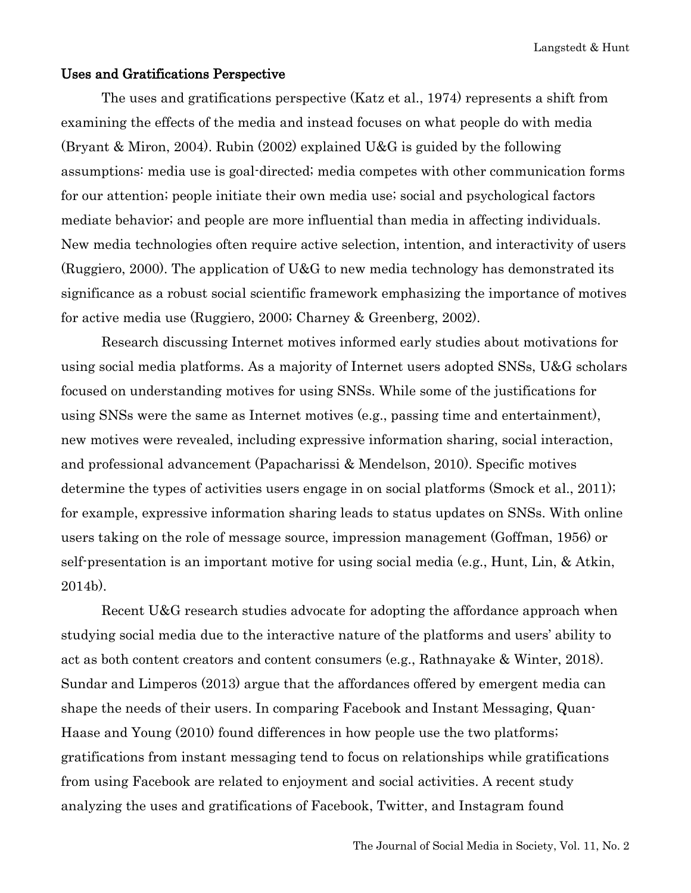Langstedt & Hunt

### Uses and Gratifications Perspective

The uses and gratifications perspective (Katz et al., 1974) represents a shift from examining the effects of the media and instead focuses on what people do with media (Bryant & Miron, 2004). Rubin (2002) explained U&G is guided by the following assumptions: media use is goal-directed; media competes with other communication forms for our attention; people initiate their own media use; social and psychological factors mediate behavior; and people are more influential than media in affecting individuals. New media technologies often require active selection, intention, and interactivity of users (Ruggiero, 2000). The application of U&G to new media technology has demonstrated its significance as a robust social scientific framework emphasizing the importance of motives for active media use (Ruggiero, 2000; Charney & Greenberg, 2002).

Research discussing Internet motives informed early studies about motivations for using social media platforms. As a majority of Internet users adopted SNSs, U&G scholars focused on understanding motives for using SNSs. While some of the justifications for using SNSs were the same as Internet motives (e.g., passing time and entertainment), new motives were revealed, including expressive information sharing, social interaction, and professional advancement (Papacharissi & Mendelson, 2010). Specific motives determine the types of activities users engage in on social platforms (Smock et al., 2011); for example, expressive information sharing leads to status updates on SNSs. With online users taking on the role of message source, impression management (Goffman, 1956) or self-presentation is an important motive for using social media (e.g., Hunt, Lin, & Atkin, 2014b).

Recent U&G research studies advocate for adopting the affordance approach when studying social media due to the interactive nature of the platforms and users' ability to act as both content creators and content consumers (e.g., Rathnayake & Winter, 2018). Sundar and Limperos (2013) argue that the affordances offered by emergent media can shape the needs of their users. In comparing Facebook and Instant Messaging, Quan-Haase and Young (2010) found differences in how people use the two platforms; gratifications from instant messaging tend to focus on relationships while gratifications from using Facebook are related to enjoyment and social activities. A recent study analyzing the uses and gratifications of Facebook, Twitter, and Instagram found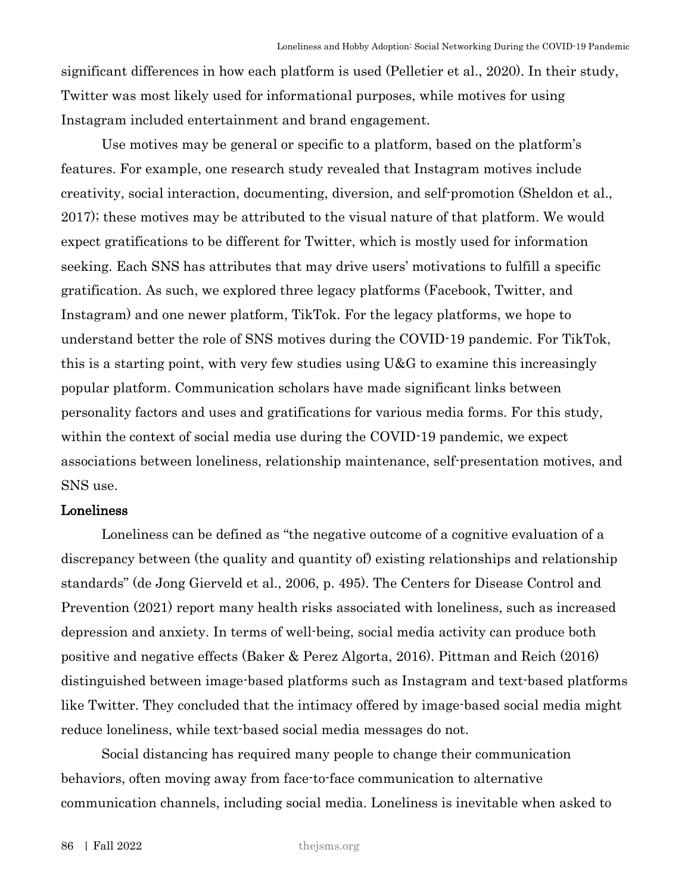significant differences in how each platform is used (Pelletier et al., 2020). In their study, Twitter was most likely used for informational purposes, while motives for using Instagram included entertainment and brand engagement.

Use motives may be general or specific to a platform, based on the platform's features. For example, one research study revealed that Instagram motives include creativity, social interaction, documenting, diversion, and self-promotion (Sheldon et al., 2017); these motives may be attributed to the visual nature of that platform. We would expect gratifications to be different for Twitter, which is mostly used for information seeking. Each SNS has attributes that may drive users' motivations to fulfill a specific gratification. As such, we explored three legacy platforms (Facebook, Twitter, and Instagram) and one newer platform, TikTok. For the legacy platforms, we hope to understand better the role of SNS motives during the COVID-19 pandemic. For TikTok, this is a starting point, with very few studies using U&G to examine this increasingly popular platform. Communication scholars have made significant links between personality factors and uses and gratifications for various media forms. For this study, within the context of social media use during the COVID-19 pandemic, we expect associations between loneliness, relationship maintenance, self-presentation motives, and SNS use.

# Loneliness

Loneliness can be defined as "the negative outcome of a cognitive evaluation of a discrepancy between (the quality and quantity of) existing relationships and relationship standards" (de Jong Gierveld et al., 2006, p. 495). The Centers for Disease Control and Prevention (2021) report many health risks associated with loneliness, such as increased depression and anxiety. In terms of well-being, social media activity can produce both positive and negative effects (Baker & Perez Algorta, 2016). Pittman and Reich (2016) distinguished between image-based platforms such as Instagram and text-based platforms like Twitter. They concluded that the intimacy offered by image-based social media might reduce loneliness, while text-based social media messages do not.

Social distancing has required many people to change their communication behaviors, often moving away from face-to-face communication to alternative communication channels, including social media. Loneliness is inevitable when asked to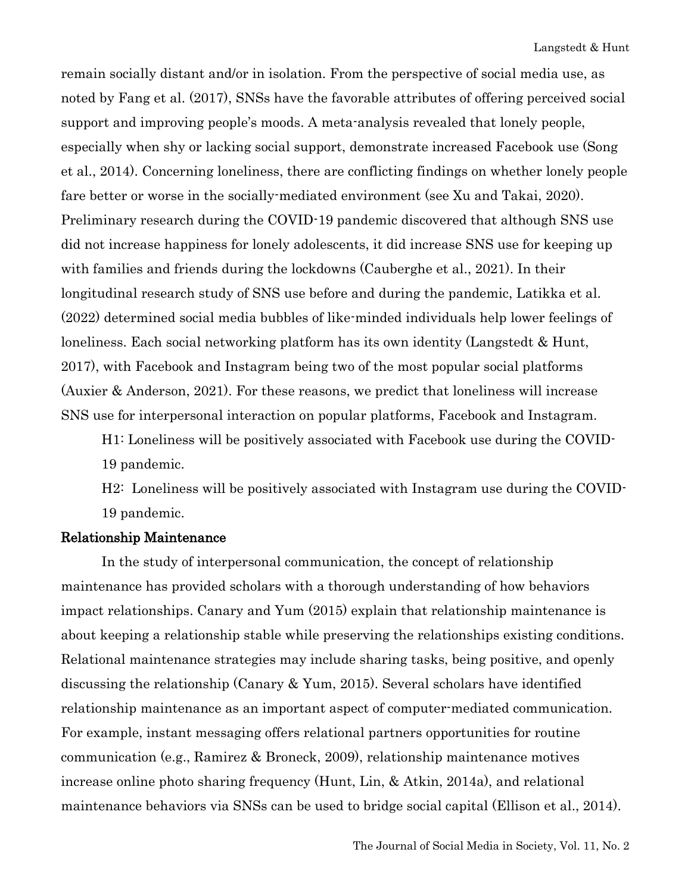remain socially distant and/or in isolation. From the perspective of social media use, as noted by Fang et al. (2017), SNSs have the favorable attributes of offering perceived social support and improving people's moods. A meta-analysis revealed that lonely people, especially when shy or lacking social support, demonstrate increased Facebook use (Song et al., 2014). Concerning loneliness, there are conflicting findings on whether lonely people fare better or worse in the socially-mediated environment (see Xu and Takai, 2020). Preliminary research during the COVID-19 pandemic discovered that although SNS use did not increase happiness for lonely adolescents, it did increase SNS use for keeping up with families and friends during the lockdowns (Cauberghe et al., 2021). In their longitudinal research study of SNS use before and during the pandemic, Latikka et al. (2022) determined social media bubbles of like-minded individuals help lower feelings of loneliness. Each social networking platform has its own identity (Langstedt & Hunt, 2017), with Facebook and Instagram being two of the most popular social platforms (Auxier & Anderson, 2021). For these reasons, we predict that loneliness will increase SNS use for interpersonal interaction on popular platforms, Facebook and Instagram.

H1: Loneliness will be positively associated with Facebook use during the COVID-19 pandemic.

H2: Loneliness will be positively associated with Instagram use during the COVID-19 pandemic.

#### Relationship Maintenance

In the study of interpersonal communication, the concept of relationship maintenance has provided scholars with a thorough understanding of how behaviors impact relationships. Canary and Yum (2015) explain that relationship maintenance is about keeping a relationship stable while preserving the relationships existing conditions. Relational maintenance strategies may include sharing tasks, being positive, and openly discussing the relationship (Canary & Yum, 2015). Several scholars have identified relationship maintenance as an important aspect of computer-mediated communication. For example, instant messaging offers relational partners opportunities for routine communication (e.g., Ramirez & Broneck, 2009), relationship maintenance motives increase online photo sharing frequency (Hunt, Lin, & Atkin, 2014a), and relational maintenance behaviors via SNSs can be used to bridge social capital (Ellison et al., 2014).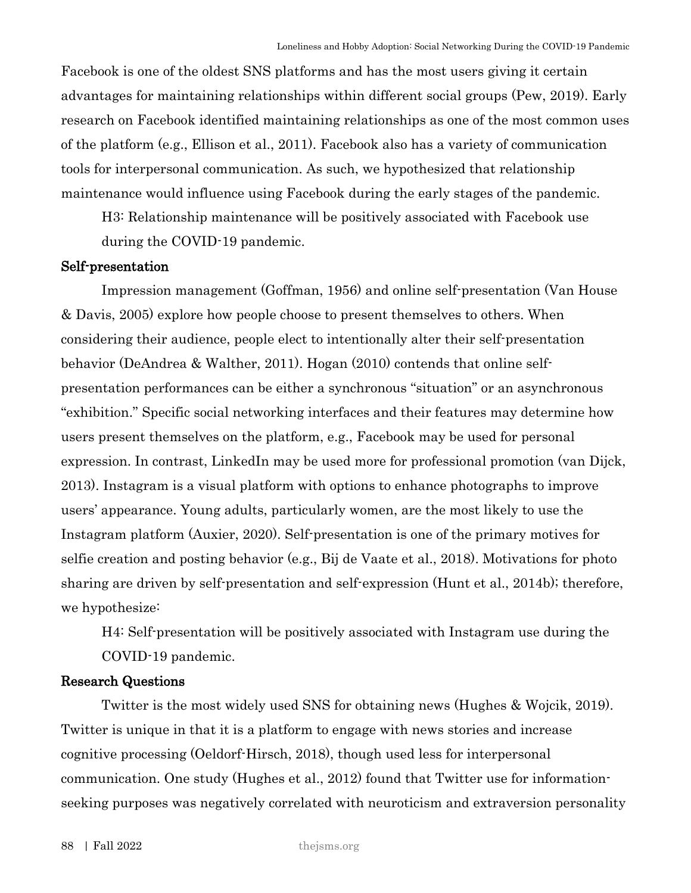Facebook is one of the oldest SNS platforms and has the most users giving it certain advantages for maintaining relationships within different social groups (Pew, 2019). Early research on Facebook identified maintaining relationships as one of the most common uses of the platform (e.g., Ellison et al., 2011). Facebook also has a variety of communication tools for interpersonal communication. As such, we hypothesized that relationship maintenance would influence using Facebook during the early stages of the pandemic.

H3: Relationship maintenance will be positively associated with Facebook use during the COVID-19 pandemic.

#### Self-presentation

Impression management (Goffman, 1956) and online self-presentation (Van House & Davis, 2005) explore how people choose to present themselves to others. When considering their audience, people elect to intentionally alter their self-presentation behavior (DeAndrea & Walther, 2011). Hogan (2010) contends that online selfpresentation performances can be either a synchronous "situation" or an asynchronous "exhibition." Specific social networking interfaces and their features may determine how users present themselves on the platform, e.g., Facebook may be used for personal expression. In contrast, LinkedIn may be used more for professional promotion (van Dijck, 2013). Instagram is a visual platform with options to enhance photographs to improve users' appearance. Young adults, particularly women, are the most likely to use the Instagram platform (Auxier, 2020). Self-presentation is one of the primary motives for selfie creation and posting behavior (e.g., Bij de Vaate et al., 2018). Motivations for photo sharing are driven by self-presentation and self-expression (Hunt et al., 2014b); therefore, we hypothesize:

H4: Self-presentation will be positively associated with Instagram use during the COVID-19 pandemic.

#### Research Questions

Twitter is the most widely used SNS for obtaining news (Hughes & Wojcik, 2019). Twitter is unique in that it is a platform to engage with news stories and increase cognitive processing (Oeldorf-Hirsch, 2018), though used less for interpersonal communication. One study (Hughes et al., 2012) found that Twitter use for informationseeking purposes was negatively correlated with neuroticism and extraversion personality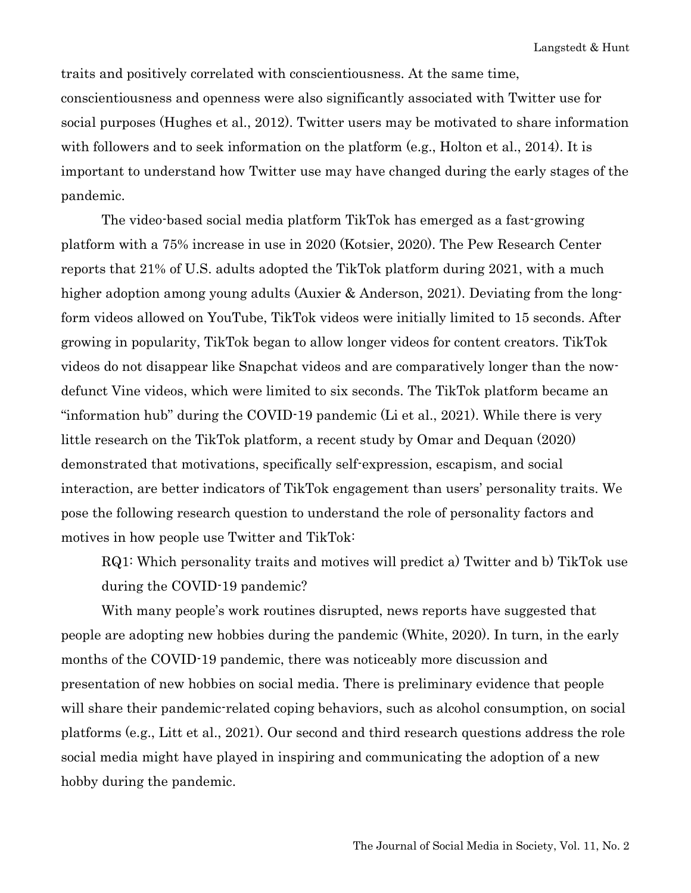traits and positively correlated with conscientiousness. At the same time, conscientiousness and openness were also significantly associated with Twitter use for social purposes (Hughes et al., 2012). Twitter users may be motivated to share information with followers and to seek information on the platform (e.g., Holton et al., 2014). It is important to understand how Twitter use may have changed during the early stages of the pandemic.

The video-based social media platform TikTok has emerged as a fast-growing platform with a 75% increase in use in 2020 (Kotsier, 2020). The Pew Research Center reports that 21% of U.S. adults adopted the TikTok platform during 2021, with a much higher adoption among young adults (Auxier & Anderson, 2021). Deviating from the longform videos allowed on YouTube, TikTok videos were initially limited to 15 seconds. After growing in popularity, TikTok began to allow longer videos for content creators. TikTok videos do not disappear like Snapchat videos and are comparatively longer than the nowdefunct Vine videos, which were limited to six seconds. The TikTok platform became an "information hub" during the COVID-19 pandemic (Li et al., 2021). While there is very little research on the TikTok platform, a recent study by Omar and Dequan (2020) demonstrated that motivations, specifically self-expression, escapism, and social interaction, are better indicators of TikTok engagement than users' personality traits. We pose the following research question to understand the role of personality factors and motives in how people use Twitter and TikTok:

RQ1: Which personality traits and motives will predict a) Twitter and b) TikTok use during the COVID-19 pandemic?

With many people's work routines disrupted, news reports have suggested that people are adopting new hobbies during the pandemic (White, 2020). In turn, in the early months of the COVID-19 pandemic, there was noticeably more discussion and presentation of new hobbies on social media. There is preliminary evidence that people will share their pandemic-related coping behaviors, such as alcohol consumption, on social platforms (e.g., Litt et al., 2021). Our second and third research questions address the role social media might have played in inspiring and communicating the adoption of a new hobby during the pandemic.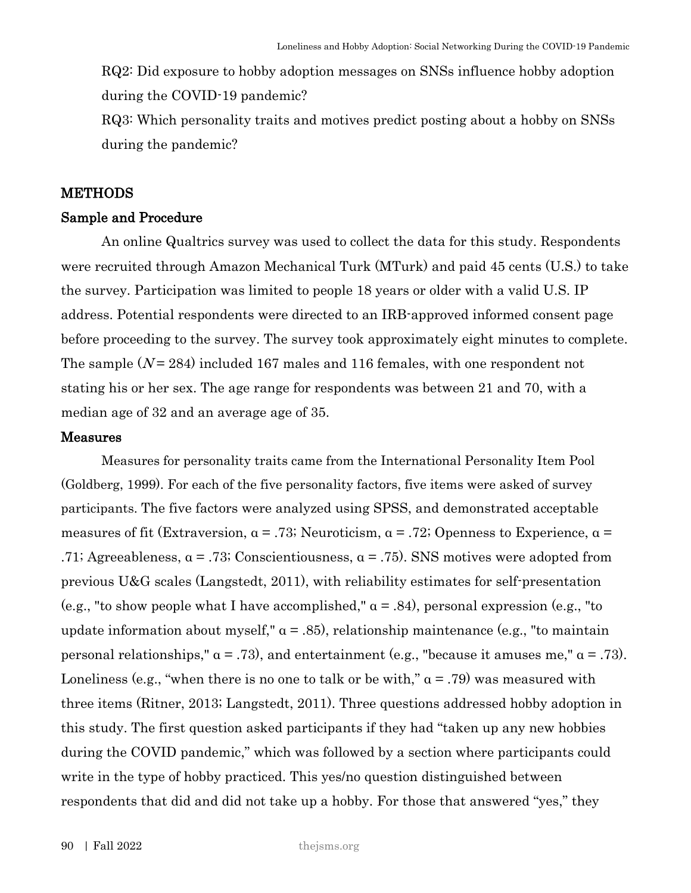RQ2: Did exposure to hobby adoption messages on SNSs influence hobby adoption during the COVID-19 pandemic?

RQ3: Which personality traits and motives predict posting about a hobby on SNSs during the pandemic?

#### **METHODS**

#### Sample and Procedure

An online Qualtrics survey was used to collect the data for this study. Respondents were recruited through Amazon Mechanical Turk (MTurk) and paid 45 cents (U.S.) to take the survey. Participation was limited to people 18 years or older with a valid U.S. IP address. Potential respondents were directed to an IRB-approved informed consent page before proceeding to the survey. The survey took approximately eight minutes to complete. The sample  $(N = 284)$  included 167 males and 116 females, with one respondent not stating his or her sex. The age range for respondents was between 21 and 70, with a median age of 32 and an average age of 35.

#### Measures

Measures for personality traits came from the International Personality Item Pool (Goldberg, 1999). For each of the five personality factors, five items were asked of survey participants. The five factors were analyzed using SPSS, and demonstrated acceptable measures of fit (Extraversion,  $\alpha = .73$ ; Neuroticism,  $\alpha = .72$ ; Openness to Experience,  $\alpha =$ .71; Agreeableness,  $\alpha = .73$ ; Conscientiousness,  $\alpha = .75$ ). SNS motives were adopted from previous U&G scales (Langstedt, 2011), with reliability estimates for self-presentation (e.g., "to show people what I have accomplished,"  $\alpha$  = .84), personal expression (e.g., "to update information about myself,"  $\alpha$  = .85), relationship maintenance (e.g., "to maintain personal relationships," α = .73), and entertainment (e.g., "because it amuses me," α = .73). Loneliness (e.g., "when there is no one to talk or be with,"  $\alpha$  = .79) was measured with three items (Ritner, 2013; Langstedt, 2011). Three questions addressed hobby adoption in this study. The first question asked participants if they had "taken up any new hobbies during the COVID pandemic," which was followed by a section where participants could write in the type of hobby practiced. This yes/no question distinguished between respondents that did and did not take up a hobby. For those that answered "yes," they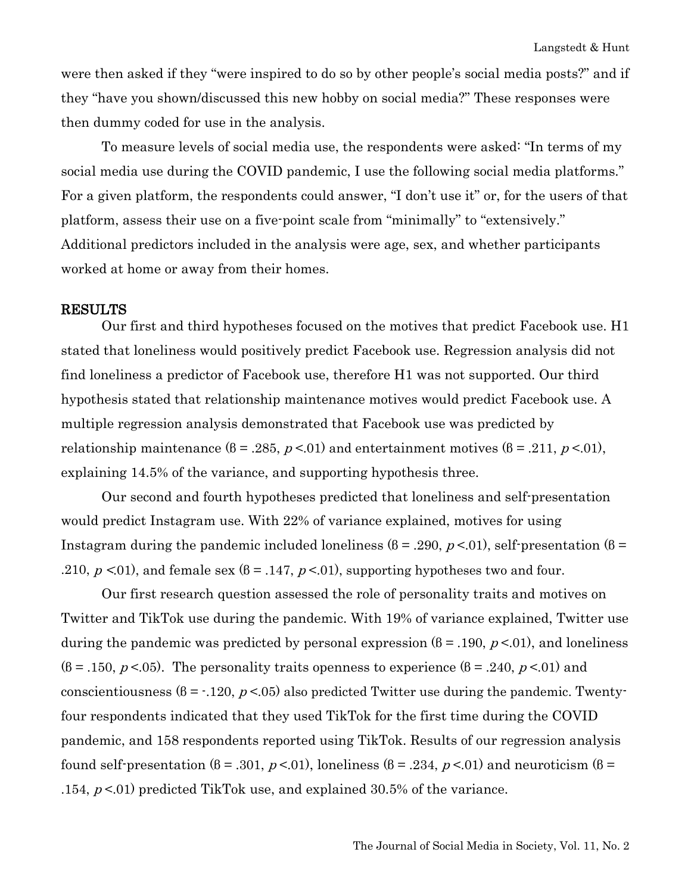were then asked if they "were inspired to do so by other people's social media posts?" and if they "have you shown/discussed this new hobby on social media?" These responses were then dummy coded for use in the analysis.

To measure levels of social media use, the respondents were asked: "In terms of my social media use during the COVID pandemic, I use the following social media platforms." For a given platform, the respondents could answer, "I don't use it" or, for the users of that platform, assess their use on a five-point scale from "minimally" to "extensively." Additional predictors included in the analysis were age, sex, and whether participants worked at home or away from their homes.

#### RESULTS

Our first and third hypotheses focused on the motives that predict Facebook use. H1 stated that loneliness would positively predict Facebook use. Regression analysis did not find loneliness a predictor of Facebook use, therefore H1 was not supported. Our third hypothesis stated that relationship maintenance motives would predict Facebook use. A multiple regression analysis demonstrated that Facebook use was predicted by relationship maintenance  $(6 = .285, p < .01)$  and entertainment motives  $(6 = .211, p < .01)$ , explaining 14.5% of the variance, and supporting hypothesis three.

Our second and fourth hypotheses predicted that loneliness and self-presentation would predict Instagram use. With 22% of variance explained, motives for using Instagram during the pandemic included loneliness  $(6 = .290, p < .01)$ , self-presentation  $(6 = .290, p < .01)$ .210,  $p \le 01$ , and female sex ( $\beta = .147$ ,  $p \le 01$ ), supporting hypotheses two and four.

Our first research question assessed the role of personality traits and motives on Twitter and TikTok use during the pandemic. With 19% of variance explained, Twitter use during the pandemic was predicted by personal expression  $(6 = .190, p < .01)$ , and loneliness  $(6 = .150, p < .05)$ . The personality traits openness to experience  $(6 = .240, p < .01)$  and conscientiousness  $(\beta = -120, p < 05)$  also predicted Twitter use during the pandemic. Twentyfour respondents indicated that they used TikTok for the first time during the COVID pandemic, and 158 respondents reported using TikTok. Results of our regression analysis found self-presentation ( $\beta$  = .301,  $p$  <.01), loneliness ( $\beta$  = .234,  $p$  <.01) and neuroticism ( $\beta$  = .154,  $p < 01$ ) predicted TikTok use, and explained 30.5% of the variance.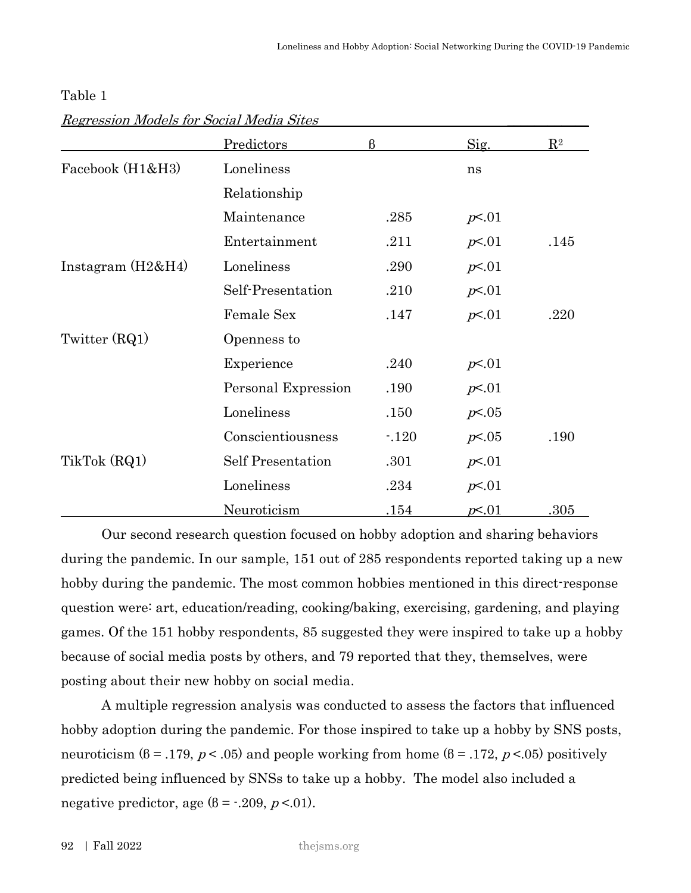|                     | Predictors               | $\beta$     | Sig.   | $\mathbf{R}^2$ |
|---------------------|--------------------------|-------------|--------|----------------|
| Facebook (H1&H3)    | Loneliness               |             | ns     |                |
|                     | Relationship             |             |        |                |
|                     | Maintenance              | .285        | p<01   |                |
|                     | Entertainment            | .211        | p<.01  | .145           |
| Instagram $(H2&H4)$ | Loneliness               | .290        | p<01   |                |
|                     | Self-Presentation        | .210        | p<01   |                |
|                     | Female Sex               | .147        | p<.01  | .220           |
| Twitter (RQ1)       | Openness to              |             |        |                |
|                     | Experience               | .240        | p<01   |                |
|                     | Personal Expression      | .190        | p<.01  |                |
|                     | Loneliness               | .150        | p<0.05 |                |
|                     | Conscientiousness        | $-120$      | p<0.05 | .190           |
| TikTok (RQ1)        | <b>Self Presentation</b> | .301        | p<01   |                |
|                     | Loneliness               | .234        | p<.01  |                |
|                     | Neuroticism              | <u>.154</u> | p<.01  | .305           |

# Table 1

Regression Models for Social Media Sites \_\_\_\_\_\_\_\_\_\_\_\_

Our second research question focused on hobby adoption and sharing behaviors during the pandemic. In our sample, 151 out of 285 respondents reported taking up a new hobby during the pandemic. The most common hobbies mentioned in this direct-response question were: art, education/reading, cooking/baking, exercising, gardening, and playing games. Of the 151 hobby respondents, 85 suggested they were inspired to take up a hobby because of social media posts by others, and 79 reported that they, themselves, were posting about their new hobby on social media.

A multiple regression analysis was conducted to assess the factors that influenced hobby adoption during the pandemic. For those inspired to take up a hobby by SNS posts, neuroticism ( $\beta$  = .179,  $p$  < .05) and people working from home ( $\beta$  = .172,  $p$  < .05) positively predicted being influenced by SNSs to take up a hobby. The model also included a negative predictor, age  $(6 = -0.209, p < 0.01)$ .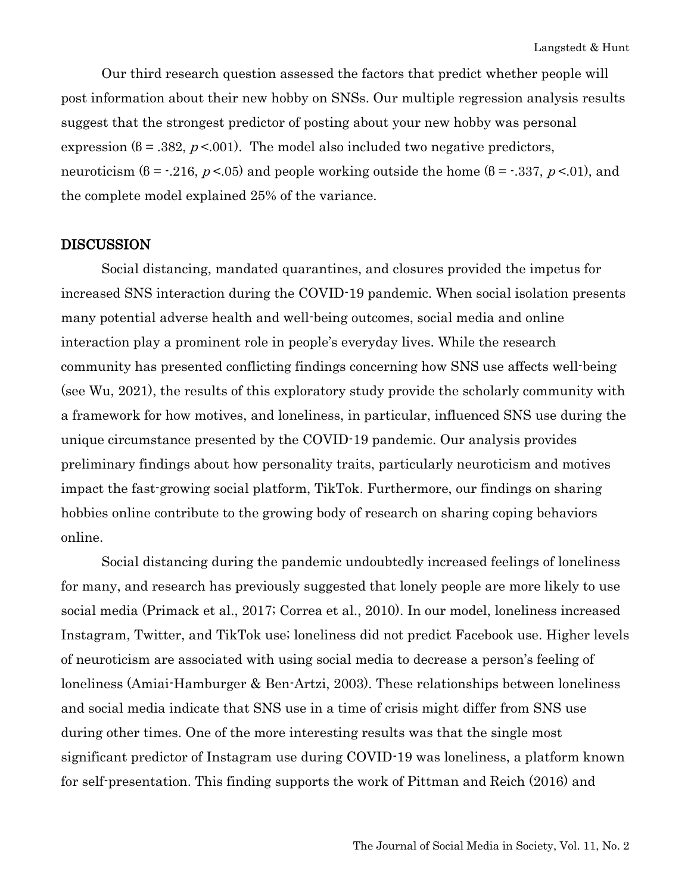Our third research question assessed the factors that predict whether people will post information about their new hobby on SNSs. Our multiple regression analysis results suggest that the strongest predictor of posting about your new hobby was personal expression ( $\beta$  = .382, p <.001). The model also included two negative predictors, neuroticism ( $\beta$  = -.216,  $p$  <.05) and people working outside the home ( $\beta$  = -.337,  $p$  <.01), and the complete model explained 25% of the variance.

# DISCUSSION

Social distancing, mandated quarantines, and closures provided the impetus for increased SNS interaction during the COVID-19 pandemic. When social isolation presents many potential adverse health and well-being outcomes, social media and online interaction play a prominent role in people's everyday lives. While the research community has presented conflicting findings concerning how SNS use affects well-being (see Wu, 2021), the results of this exploratory study provide the scholarly community with a framework for how motives, and loneliness, in particular, influenced SNS use during the unique circumstance presented by the COVID-19 pandemic. Our analysis provides preliminary findings about how personality traits, particularly neuroticism and motives impact the fast-growing social platform, TikTok. Furthermore, our findings on sharing hobbies online contribute to the growing body of research on sharing coping behaviors online.

Social distancing during the pandemic undoubtedly increased feelings of loneliness for many, and research has previously suggested that lonely people are more likely to use social media (Primack et al., 2017; Correa et al., 2010). In our model, loneliness increased Instagram, Twitter, and TikTok use; loneliness did not predict Facebook use. Higher levels of neuroticism are associated with using social media to decrease a person's feeling of loneliness (Amiai-Hamburger & Ben-Artzi, 2003). These relationships between loneliness and social media indicate that SNS use in a time of crisis might differ from SNS use during other times. One of the more interesting results was that the single most significant predictor of Instagram use during COVID-19 was loneliness, a platform known for self-presentation. This finding supports the work of Pittman and Reich (2016) and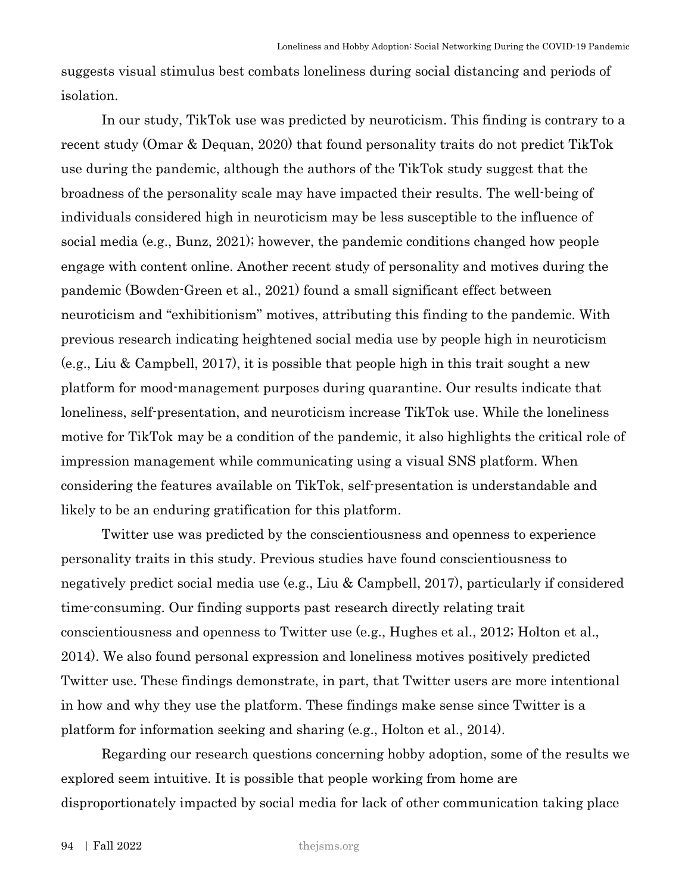suggests visual stimulus best combats loneliness during social distancing and periods of isolation.

In our study, TikTok use was predicted by neuroticism. This finding is contrary to a recent study (Omar & Dequan, 2020) that found personality traits do not predict TikTok use during the pandemic, although the authors of the TikTok study suggest that the broadness of the personality scale may have impacted their results. The well-being of individuals considered high in neuroticism may be less susceptible to the influence of social media (e.g., Bunz, 2021); however, the pandemic conditions changed how people engage with content online. Another recent study of personality and motives during the pandemic (Bowden-Green et al., 2021) found a small significant effect between neuroticism and "exhibitionism" motives, attributing this finding to the pandemic. With previous research indicating heightened social media use by people high in neuroticism (e.g., Liu & Campbell, 2017), it is possible that people high in this trait sought a new platform for mood-management purposes during quarantine. Our results indicate that loneliness, self-presentation, and neuroticism increase TikTok use. While the loneliness motive for TikTok may be a condition of the pandemic, it also highlights the critical role of impression management while communicating using a visual SNS platform. When considering the features available on TikTok, self-presentation is understandable and likely to be an enduring gratification for this platform.

Twitter use was predicted by the conscientiousness and openness to experience personality traits in this study. Previous studies have found conscientiousness to negatively predict social media use (e.g., Liu & Campbell, 2017), particularly if considered time-consuming. Our finding supports past research directly relating trait conscientiousness and openness to Twitter use (e.g., Hughes et al., 2012; Holton et al., 2014). We also found personal expression and loneliness motives positively predicted Twitter use. These findings demonstrate, in part, that Twitter users are more intentional in how and why they use the platform. These findings make sense since Twitter is a platform for information seeking and sharing (e.g., Holton et al., 2014).

Regarding our research questions concerning hobby adoption, some of the results we explored seem intuitive. It is possible that people working from home are disproportionately impacted by social media for lack of other communication taking place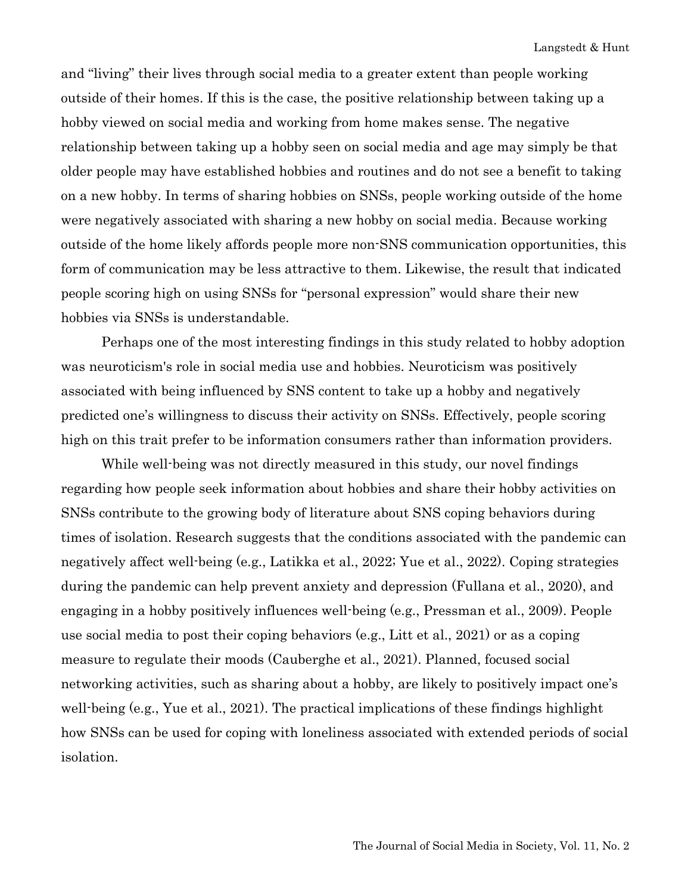and "living" their lives through social media to a greater extent than people working outside of their homes. If this is the case, the positive relationship between taking up a hobby viewed on social media and working from home makes sense. The negative relationship between taking up a hobby seen on social media and age may simply be that older people may have established hobbies and routines and do not see a benefit to taking on a new hobby. In terms of sharing hobbies on SNSs, people working outside of the home were negatively associated with sharing a new hobby on social media. Because working outside of the home likely affords people more non-SNS communication opportunities, this form of communication may be less attractive to them. Likewise, the result that indicated people scoring high on using SNSs for "personal expression" would share their new hobbies via SNSs is understandable.

Perhaps one of the most interesting findings in this study related to hobby adoption was neuroticism's role in social media use and hobbies. Neuroticism was positively associated with being influenced by SNS content to take up a hobby and negatively predicted one's willingness to discuss their activity on SNSs. Effectively, people scoring high on this trait prefer to be information consumers rather than information providers.

While well-being was not directly measured in this study, our novel findings regarding how people seek information about hobbies and share their hobby activities on SNSs contribute to the growing body of literature about SNS coping behaviors during times of isolation. Research suggests that the conditions associated with the pandemic can negatively affect well-being (e.g., Latikka et al., 2022; Yue et al., 2022). Coping strategies during the pandemic can help prevent anxiety and depression (Fullana et al., 2020), and engaging in a hobby positively influences well-being (e.g., Pressman et al., 2009). People use social media to post their coping behaviors (e.g., Litt et al., 2021) or as a coping measure to regulate their moods (Cauberghe et al., 2021). Planned, focused social networking activities, such as sharing about a hobby, are likely to positively impact one's well-being (e.g., Yue et al., 2021). The practical implications of these findings highlight how SNSs can be used for coping with loneliness associated with extended periods of social isolation.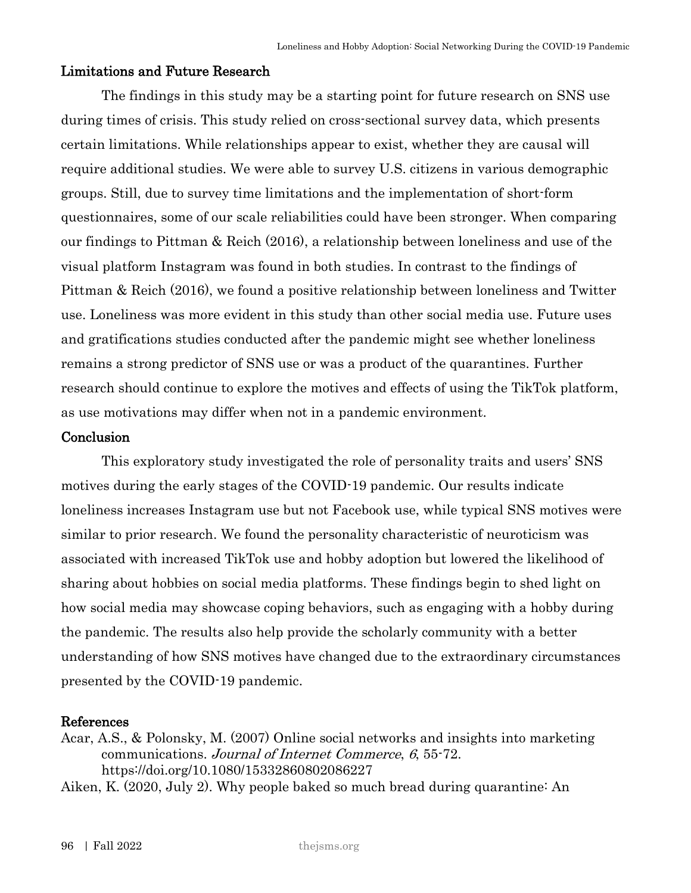# Limitations and Future Research

The findings in this study may be a starting point for future research on SNS use during times of crisis. This study relied on cross-sectional survey data, which presents certain limitations. While relationships appear to exist, whether they are causal will require additional studies. We were able to survey U.S. citizens in various demographic groups. Still, due to survey time limitations and the implementation of short-form questionnaires, some of our scale reliabilities could have been stronger. When comparing our findings to Pittman & Reich (2016), a relationship between loneliness and use of the visual platform Instagram was found in both studies. In contrast to the findings of Pittman & Reich (2016), we found a positive relationship between loneliness and Twitter use. Loneliness was more evident in this study than other social media use. Future uses and gratifications studies conducted after the pandemic might see whether loneliness remains a strong predictor of SNS use or was a product of the quarantines. Further research should continue to explore the motives and effects of using the TikTok platform, as use motivations may differ when not in a pandemic environment.

# **Conclusion**

This exploratory study investigated the role of personality traits and users' SNS motives during the early stages of the COVID-19 pandemic. Our results indicate loneliness increases Instagram use but not Facebook use, while typical SNS motives were similar to prior research. We found the personality characteristic of neuroticism was associated with increased TikTok use and hobby adoption but lowered the likelihood of sharing about hobbies on social media platforms. These findings begin to shed light on how social media may showcase coping behaviors, such as engaging with a hobby during the pandemic. The results also help provide the scholarly community with a better understanding of how SNS motives have changed due to the extraordinary circumstances presented by the COVID-19 pandemic.

# References

Acar, A.S., & Polonsky, M. (2007) Online social networks and insights into marketing communications. Journal of Internet Commerce, 6, 55-72. https://doi.org/10.1080/15332860802086227

Aiken, K. (2020, July 2). Why people baked so much bread during quarantine: An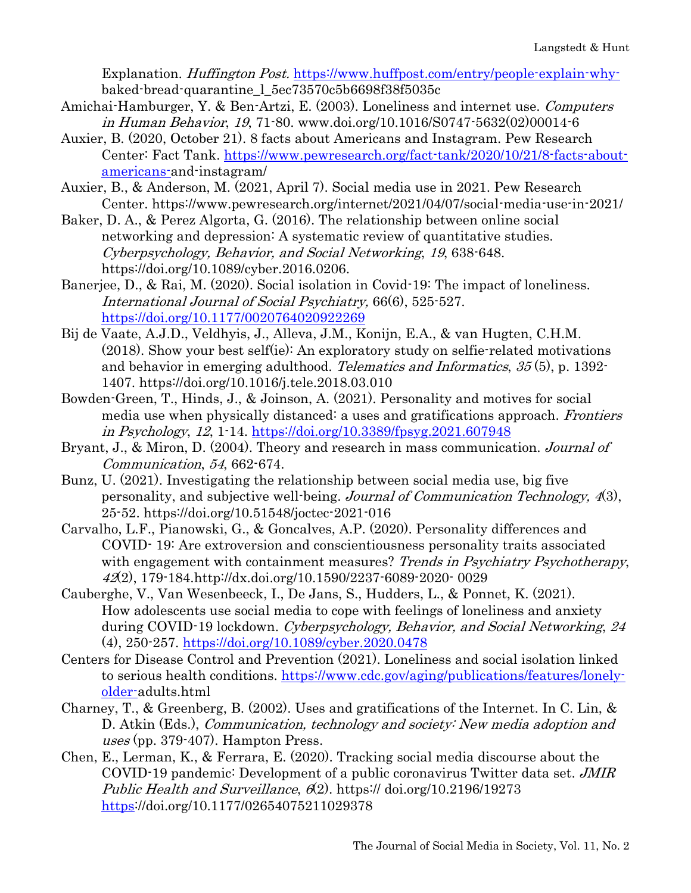Explanation. Huffington Post. [https://www.huffpost.com/entry/people-explain-why](https://www.huffpost.com/entry/people-explain-why-)baked-bread-quarantine\_l\_5ec73570c5b6698f38f5035c

- Amichai-Hamburger, Y. & Ben-Artzi, E. (2003). Loneliness and internet use. Computers in Human Behavior, 19, 71-80. www.doi.org/10.1016/S0747-5632(02)00014-6
- Auxier, B. (2020, October 21). 8 facts about Americans and Instagram. Pew Research Center: Fact Tank. [https://www.pewresearch.org/fact-tank/2020/10/21/8-facts-about](https://www.pewresearch.org/fact-tank/2020/10/21/8-facts-about-americans-)[americans-a](https://www.pewresearch.org/fact-tank/2020/10/21/8-facts-about-americans-)nd-instagram/
- Auxier, B., & Anderson, M. (2021, April 7). Social media use in 2021. Pew Research Center. https://www.pewresearch.org/internet/2021/04/07/social-media-use-in-2021/
- Baker, D. A., & Perez Algorta, G. (2016). The relationship between online social networking and depression: A systematic review of quantitative studies. Cyberpsychology, Behavior, and Social Networking, 19, 638-648. https://doi.org/10.1089/cyber.2016.0206.
- Banerjee, D., & Rai, M. (2020). Social isolation in Covid-19: The impact of loneliness. International Journal of Social Psychiatry, 66(6), 525-527. [https://doi.org/10.1177/0020764020922269](https://doi.org/10.1177%2F0020764020922269)
- Bij de Vaate, A.J.D., Veldhyis, J., Alleva, J.M., Konijn, E.A., & van Hugten, C.H.M. (2018). Show your best self(ie): An exploratory study on selfie-related motivations and behavior in emerging adulthood. Telematics and Informatics, 35 (5), p. 1392- 1407. https://doi.org/10.1016/j.tele.2018.03.010
- Bowden-Green, T., Hinds, J., & Joinson, A. (2021). Personality and motives for social media use when physically distanced: a uses and gratifications approach. Frontiers in Psychology, 12, 1-14.<https://doi.org/10.3389/fpsyg.2021.607948>
- Bryant, J., & Miron, D. (2004). Theory and research in mass communication. Journal of Communication, 54, 662-674.
- Bunz, U. (2021). Investigating the relationship between social media use, big five personality, and subjective well-being. Journal of Communication Technology, 4(3), 25-52. https://doi.org/10.51548/joctec-2021-016
- Carvalho, L.F., Pianowski, G., & Goncalves, A.P. (2020). Personality differences and COVID- 19: Are extroversion and conscientiousness personality traits associated with engagement with containment measures? Trends in Psychiatry Psychotherapy, <sup>42</sup>(2), 179-184.http://dx.doi.org/10.1590/2237-6089-2020- 0029
- Cauberghe, V., Van Wesenbeeck, I., De Jans, S., Hudders, L., & Ponnet, K. (2021). How adolescents use social media to cope with feelings of loneliness and anxiety during COVID-19 lockdown. Cyberpsychology, Behavior, and Social Networking, <sup>24</sup> (4), 250-257.<https://doi.org/10.1089/cyber.2020.0478>
- Centers for Disease Control and Prevention (2021). Loneliness and social isolation linked to serious health conditions. [https://www.cdc.gov/aging/publications/features/lonely](https://www.cdc.gov/aging/publications/features/lonely-older-)[older-a](https://www.cdc.gov/aging/publications/features/lonely-older-)dults.html
- Charney, T., & Greenberg, B. (2002). Uses and gratifications of the Internet. In C. Lin, & D. Atkin (Eds.), Communication, technology and society: New media adoption and uses (pp. 379-407). Hampton Press.
- Chen, E., Lerman, K., & Ferrara, E. (2020). Tracking social media discourse about the COVID-19 pandemic: Development of a public coronavirus Twitter data set. JMIR Public Health and Surveillance,  $6(2)$ . https:// doi.org/10.2196/19273 https://doi.org/10.1177/02654075211029378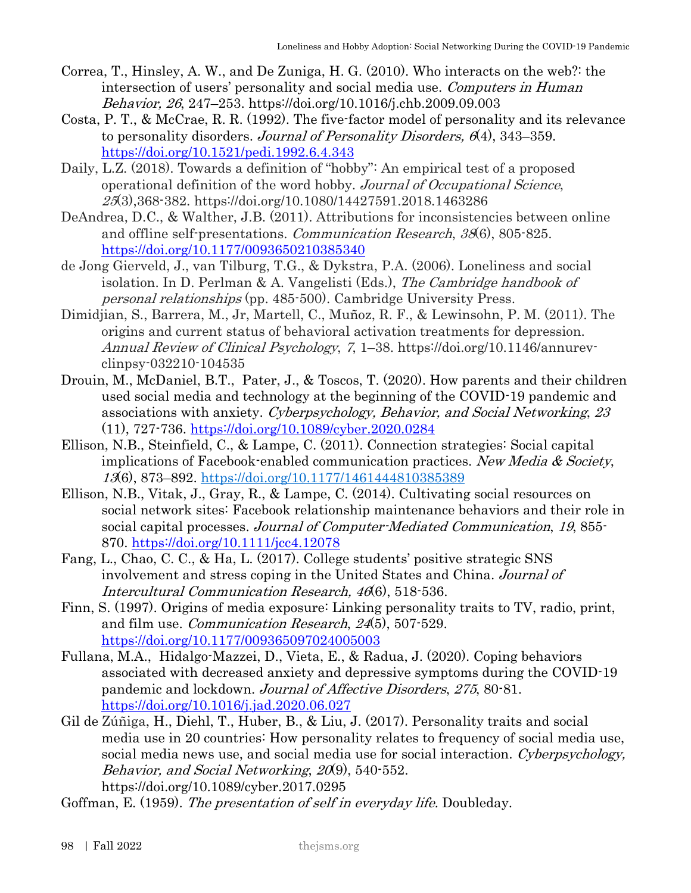- Correa, T., Hinsley, A. W., and De Zuniga, H. G. (2010). Who interacts on the web?: the intersection of users' personality and social media use. Computers in Human Behavior, 26, 247–253. https://doi.org/10.1016/j.chb.2009.09.003
- Costa, P. T., & McCrae, R. R. (1992). The five-factor model of personality and its relevance to personality disorders. Journal of Personality Disorders, 6(4), 343–359. <https://doi.org/10.1521/pedi.1992.6.4.343>
- Daily, L.Z. (2018). Towards a definition of "hobby": An empirical test of a proposed operational definition of the word hobby. Journal of Occupational Science, 25(3),368-382. https://doi.org/10.1080/14427591.2018.1463286
- DeAndrea, D.C., & Walther, J.B. (2011). Attributions for inconsistencies between online and offline self-presentations. Communication Research, 38(6), 805-825. [https://doi.org/10.1177/0093650210385340](https://doi.org/10.1177%2F0093650210385340)
- de Jong Gierveld, J., van Tilburg, T.G., & Dykstra, P.A. (2006). Loneliness and social isolation. In D. Perlman & A. Vangelisti (Eds.), The Cambridge handbook of personal relationships (pp. 485-500). Cambridge University Press.
- Dimidjian, S., Barrera, M., Jr, Martell, C., Muñoz, R. F., & Lewinsohn, P. M. (2011). The origins and current status of behavioral activation treatments for depression. Annual Review of Clinical Psychology, 7, 1–38. https://doi.org/10.1146/annurevclinpsy-032210-104535
- Drouin, M., McDaniel, B.T., Pater, J., & Toscos, T. (2020). How parents and their children used social media and technology at the beginning of the COVID-19 pandemic and associations with anxiety. Cyberpsychology, Behavior, and Social Networking, 23 (11), 727-736.<https://doi.org/10.1089/cyber.2020.0284>
- Ellison, N.B., Steinfield, C., & Lampe, C. (2011). Connection strategies: Social capital implications of Facebook-enabled communication practices. New Media & Society, 13(6), 873–892. [https://doi.org/10.1177/1461444810385389](https://doi.org/10.1177%2F1461444810385389)
- Ellison, N.B., Vitak, J., Gray, R., & Lampe, C. (2014). Cultivating social resources on social network sites: Facebook relationship maintenance behaviors and their role in social capital processes. Journal of Computer-Mediated Communication, 19, 855- 870. <https://doi.org/10.1111/jcc4.12078>
- Fang, L., Chao, C. C., & Ha, L. (2017). College students' positive strategic SNS involvement and stress coping in the United States and China. Journal of Intercultural Communication Research, 46(6), 518-536.
- Finn, S. (1997). Origins of media exposure: Linking personality traits to TV, radio, print, and film use. Communication Research, 24(5), 507-529. <https://doi.org/10.1177/009365097024005003>
- Fullana, M.A., Hidalgo-Mazzei, D., Vieta, E., & Radua, J. (2020). Coping behaviors associated with decreased anxiety and depressive symptoms during the COVID-19 pandemic and lockdown. Journal of Affective Disorders, 275, 80-81. <https://doi.org/10.1016/j.jad.2020.06.027>
- Gil de Zúñiga, H., Diehl, T., Huber, B., & Liu, J. (2017). Personality traits and social media use in 20 countries: How personality relates to frequency of social media use, social media news use, and social media use for social interaction. Cyberpsychology, Behavior, and Social Networking, 20(9), 540-552. https://doi.org/10.1089/cyber.2017.0295

Goffman, E. (1959). The presentation of self in everyday life. Doubleday.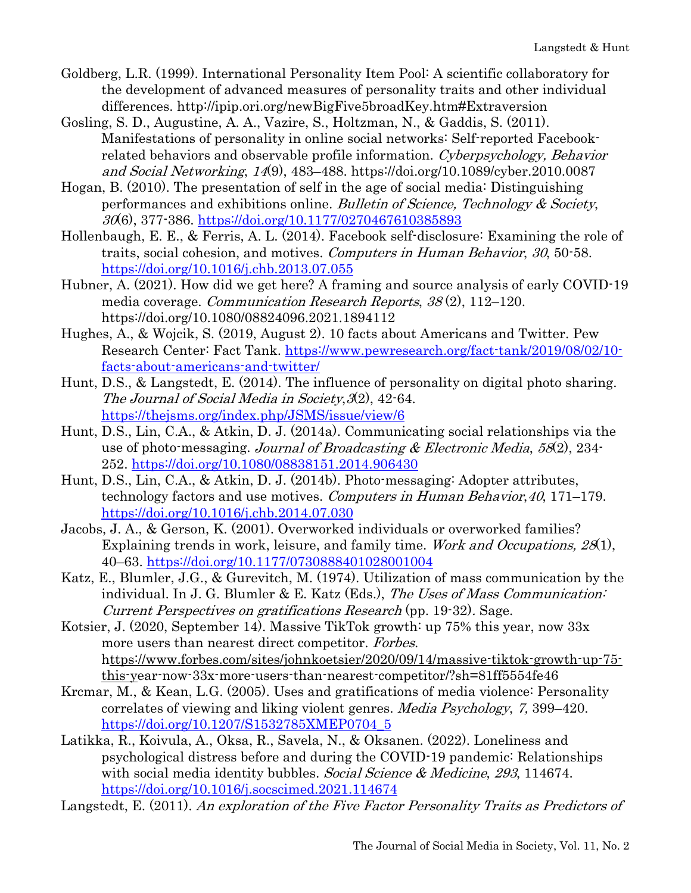- Goldberg, L.R. (1999). International Personality Item Pool: A scientific collaboratory for the development of advanced measures of personality traits and other individual differences. http://ipip.ori.org/newBigFive5broadKey.htm#Extraversion
- Gosling, S. D., Augustine, A. A., Vazire, S., Holtzman, N., & Gaddis, S. (2011). Manifestations of personality in online social networks: Self-reported Facebookrelated behaviors and observable profile information. Cyberpsychology, Behavior and Social Networking, 14(9), 483–488. https://doi.org/10.1089/cyber.2010.0087
- Hogan, B. (2010). The presentation of self in the age of social media: Distinguishing performances and exhibitions online. Bulletin of Science, Technology  $& Society,$ 30(6), 377-386. [https://doi.org/10.1177/0270467610385893](https://doi.org/10.1177%2F0270467610385893)
- Hollenbaugh, E. E., & Ferris, A. L. (2014). Facebook self-disclosure: Examining the role of traits, social cohesion, and motives. Computers in Human Behavior, 30, 50-58. <https://doi.org/10.1016/j.chb.2013.07.055>
- Hubner, A. (2021). How did we get here? A framing and source analysis of early COVID-19 media coverage. Communication Research Reports, 38 (2), 112–120. https://doi.org/10.1080/08824096.2021.1894112
- Hughes, A., & Wojcik, S. (2019, August 2). 10 facts about Americans and Twitter. Pew Research Center: Fact Tank. [https://www.pewresearch.org/fact-tank/2019/08/02/10](https://www.pewresearch.org/fact-tank/2019/08/02/10-facts-about-americans-and-twitter/) [facts-about-americans-and-twitter/](https://www.pewresearch.org/fact-tank/2019/08/02/10-facts-about-americans-and-twitter/)
- Hunt, D.S., & Langstedt, E. (2014). The influence of personality on digital photo sharing. The Journal of Social Media in Society,3(2), 42-64. <https://thejsms.org/index.php/JSMS/issue/view/6>
- Hunt, D.S., Lin, C.A., & Atkin, D. J. (2014a). Communicating social relationships via the use of photo-messaging. Journal of Broadcasting & Electronic Media, 58(2), 234-252. <https://doi.org/10.1080/08838151.2014.906430>
- Hunt, D.S., Lin, C.A., & Atkin, D. J. (2014b). Photo-messaging: Adopter attributes, technology factors and use motives. Computers in Human Behavior, 40, 171–179. <https://doi.org/10.1016/j.chb.2014.07.030>
- Jacobs, J. A., & Gerson, K. (2001). Overworked individuals or overworked families? Explaining trends in work, leisure, and family time. Work and Occupations, 28(1), 40–63.<https://doi.org/10.1177/0730888401028001004>
- Katz, E., Blumler, J.G., & Gurevitch, M. (1974). Utilization of mass communication by the individual. In J. G. Blumler & E. Katz (Eds.), *The Uses of Mass Communication*: Current Perspectives on gratifications Research (pp. 19-32). Sage.
- Kotsier, J. (2020, September 14). Massive TikTok growth: up 75% this year, now 33x more users than nearest direct competitor. Forbes. [https://www.forbes.com/sites/johnkoetsier/2020/09/14/massive-tiktok-growth-up-75](ttps://www.forbes.com/sites/johnkoetsier/2020/09/14/massive-tiktok-growth-up-75-this-y) [this-ye](ttps://www.forbes.com/sites/johnkoetsier/2020/09/14/massive-tiktok-growth-up-75-this-y)ar-now-33x-more-users-than-nearest-competitor/?sh=81ff5554fe46
- Krcmar, M., & Kean, L.G. (2005). Uses and gratifications of media violence: Personality correlates of viewing and liking violent genres. Media Psychology, 7, 399–420. [https://doi.org/10.1207/S1532785XMEP0704\\_5](https://doi.org/10.1207/S1532785XMEP0704_5)
- Latikka, R., Koivula, A., Oksa, R., Savela, N., & Oksanen. (2022). Loneliness and psychological distress before and during the COVID-19 pandemic: Relationships with social media identity bubbles. Social Science & Medicine, 293, 114674. <https://doi.org/10.1016/j.socscimed.2021.114674>
- Langstedt, E. (2011). An exploration of the Five Factor Personality Traits as Predictors of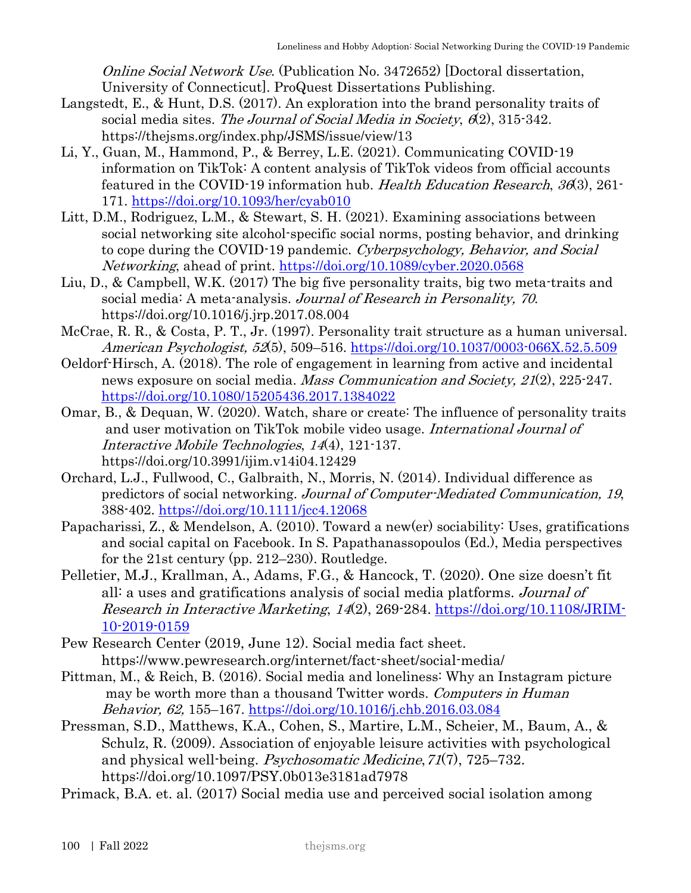Online Social Network Use. (Publication No. 3472652) [Doctoral dissertation, University of Connecticut]. ProQuest Dissertations Publishing.

- Langstedt, E., & Hunt, D.S. (2017). An exploration into the brand personality traits of social media sites. The Journal of Social Media in Society,  $6(2)$ , 315-342. https://thejsms.org/index.php/JSMS/issue/view/13
- Li, Y., Guan, M., Hammond, P., & Berrey, L.E. (2021). Communicating COVID-19 information on TikTok: A content analysis of TikTok videos from official accounts featured in the COVID-19 information hub. Health Education Research, 36(3), 261-171. <https://doi.org/10.1093/her/cyab010>
- Litt, D.M., Rodriguez, L.M., & Stewart, S. H. (2021). Examining associations between social networking site alcohol-specific social norms, posting behavior, and drinking to cope during the COVID-19 pandemic. Cyberpsychology, Behavior, and Social Networking, ahead of print.<https://doi.org/10.1089/cyber.2020.0568>
- Liu, D., & Campbell, W.K. (2017) The big five personality traits, big two meta-traits and social media: A meta-analysis. Journal of Research in Personality, 70. https://doi.org/10.1016/j.jrp.2017.08.004
- McCrae, R. R., & Costa, P. T., Jr. (1997). Personality trait structure as a human universal. American Psychologist, 52(5), 509–516. [https://doi.org/10.1037/0003-066X.52.5.509](https://psycnet.apa.org/doi/10.1037/0003-066X.52.5.509)
- Oeldorf-Hirsch, A. (2018). The role of engagement in learning from active and incidental news exposure on social media. *Mass Communication and Society*, 21(2), 225-247. <https://doi.org/10.1080/15205436.2017.1384022>
- Omar, B., & Dequan, W. (2020). Watch, share or create: The influence of personality traits and user motivation on TikTok mobile video usage. International Journal of Interactive Mobile Technologies, 14(4), 121-137. https://doi.org/10.3991/ijim.v14i04.12429
- Orchard, L.J., Fullwood, C., Galbraith, N., Morris, N. (2014). Individual difference as predictors of social networking. Journal of Computer-Mediated Communication, 19, 388-402.<https://doi.org/10.1111/jcc4.12068>
- Papacharissi, Z., & Mendelson, A. (2010). Toward a new(er) sociability: Uses, gratifications and social capital on Facebook. In S. Papathanassopoulos (Ed.), Media perspectives for the 21st century (pp. 212–230). Routledge.
- Pelletier, M.J., Krallman, A., Adams, F.G., & Hancock, T. (2020). One size doesn't fit all: a uses and gratifications analysis of social media platforms. Journal of Research in Interactive Marketing, 14(2), 269-284. [https://doi.org/10.1108/JRIM-](https://doi.org/10.1108/JRIM-10-2019-0159)[10-2019-0159](https://doi.org/10.1108/JRIM-10-2019-0159)
- Pew Research Center (2019, June 12). Social media fact sheet. https://www.pewresearch.org/internet/fact-sheet/social-media/
- Pittman, M., & Reich, B. (2016). Social media and loneliness: Why an Instagram picture may be worth more than a thousand Twitter words. Computers in Human Behavior, 62, 155–167. [https://doi.org/10.1016/j.chb.2016.03.084](https://psycnet.apa.org/doi/10.1016/j.chb.2016.03.084)
- Pressman, S.D., Matthews, K.A., Cohen, S., Martire, L.M., Scheier, M., Baum, A., & Schulz, R. (2009). Association of enjoyable leisure activities with psychological and physical well-being. Psychosomatic Medicine,71(7), 725–732. https://doi.org/10.1097/PSY.0b013e3181ad7978
- Primack, B.A. et. al. (2017) Social media use and perceived social isolation among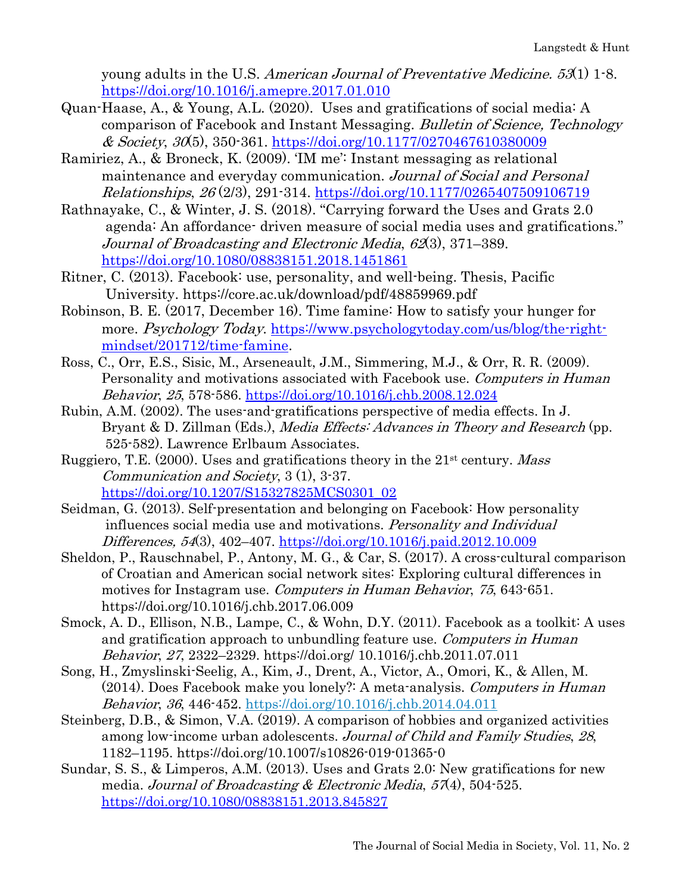young adults in the U.S. American Journal of Preventative Medicine. 53(1) 1-8. <https://doi.org/10.1016/j.amepre.2017.01.010>

- Quan-Haase, A., & Young, A.L. (2020). Uses and gratifications of social media: A comparison of Facebook and Instant Messaging. Bulletin of Science, Technology  $& Society, 30(5), 350-361. <https://doi.org/10.1177/0270467610380009>$
- Ramiriez, A., & Broneck, K. (2009). 'IM me': Instant messaging as relational maintenance and everyday communication. Journal of Social and Personal Relationships, 26 (2/3), 291-314. [https://doi.org/10.1177/0265407509106719](https://doi.org/10.1177%2F0265407509106719)
- Rathnayake, C., & Winter, J. S. (2018). "Carrying forward the Uses and Grats 2.0 agenda: An affordance- driven measure of social media uses and gratifications." Journal of Broadcasting and Electronic Media, 62(3), 371–389. <https://doi.org/10.1080/08838151.2018.1451861>
- Ritner, C. (2013). Facebook: use, personality, and well-being. Thesis, Pacific University. https://core.ac.uk/download/pdf/48859969.pdf
- Robinson, B. E. (2017, December 16). Time famine: How to satisfy your hunger for more. Psychology Today. [https://www.psychologytoday.com/us/blog/the-right](https://www.psychologytoday.com/us/blog/the-right-mindset/201712/time-famine)[mindset/201712/time-famine.](https://www.psychologytoday.com/us/blog/the-right-mindset/201712/time-famine)
- Ross, C., Orr, E.S., Sisic, M., Arseneault, J.M., Simmering, M.J., & Orr, R. R. (2009). Personality and motivations associated with Facebook use. Computers in Human Behavior, 25, 578-586.<https://doi.org/10.1016/j.chb.2008.12.024>
- Rubin, A.M. (2002). The uses-and-gratifications perspective of media effects. In J. Bryant & D. Zillman (Eds.), *Media Effects: Advances in Theory and Research* (pp. 525-582). Lawrence Erlbaum Associates.
- Ruggiero, T.E. (2000). Uses and gratifications theory in the  $21<sup>st</sup>$  century. Mass Communication and Society, 3 (1), 3-37. [https://doi.org/10.1207/S15327825MCS0301\\_02](https://doi.org/10.1207/S15327825MCS0301_02)
- Seidman, G. (2013). Self-presentation and belonging on Facebook: How personality influences social media use and motivations. Personality and Individual Differences, 54(3), 402–407. [https://doi.org/10.1016/j.paid.2012.10.009](https://psycnet.apa.org/doi/10.1016/j.paid.2012.10.009)
- Sheldon, P., Rauschnabel, P., Antony, M. G., & Car, S. (2017). A cross-cultural comparison of Croatian and American social network sites: Exploring cultural differences in motives for Instagram use. Computers in Human Behavior, 75, 643-651. https://doi.org/10.1016/j.chb.2017.06.009
- Smock, A. D., Ellison, N.B., Lampe, C., & Wohn, D.Y. (2011). Facebook as a toolkit: A uses and gratification approach to unbundling feature use. Computers in Human Behavior, 27, 2322–2329. https://doi.org/ 10.1016/j.chb.2011.07.011
- Song, H., Zmyslinski-Seelig, A., Kim, J., Drent, A., Victor, A., Omori, K., & Allen, M. (2014). Does Facebook make you lonely?: A meta-analysis. Computers in Human Behavior, 36, 446-452.<https://doi.org/10.1016/j.chb.2014.04.011>
- Steinberg, D.B., & Simon, V.A. (2019). A comparison of hobbies and organized activities among low-income urban adolescents. Journal of Child and Family Studies, 28, 1182–1195. https://doi.org/10.1007/s10826-019-01365-0
- Sundar, S. S., & Limperos, A.M. (2013). Uses and Grats 2.0: New gratifications for new media. Journal of Broadcasting & Electronic Media,  $57(4)$ , 504-525. <https://doi.org/10.1080/08838151.2013.845827>